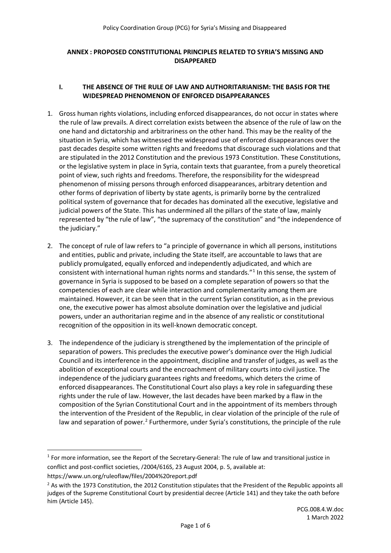### **ANNEX : PROPOSED CONSTITUTIONAL PRINCIPLES RELATED TO SYRIA'S MISSING AND DISAPPEARED**

### **I. THE ABSENCE OF THE RULE OF LAW AND AUTHORITARIANISM: THE BASIS FOR THE WIDESPREAD PHENOMENON OF ENFORCED DISAPPEARANCES**

- 1. Gross human rights violations, including enforced disappearances, do not occur in states where the rule of law prevails. A direct correlation exists between the absence of the rule of law on the one hand and dictatorship and arbitrariness on the other hand. This may be the reality of the situation in Syria, which has witnessed the widespread use of enforced disappearances over the past decades despite some written rights and freedoms that discourage such violations and that are stipulated in the 2012 Constitution and the previous 1973 Constitution. These Constitutions, or the legislative system in place in Syria, contain texts that guarantee, from a purely theoretical point of view, such rights and freedoms. Therefore, the responsibility for the widespread phenomenon of missing persons through enforced disappearances, arbitrary detention and other forms of deprivation of liberty by state agents, is primarily borne by the centralized political system of governance that for decades has dominated all the executive, legislative and judicial powers of the State. This has undermined all the pillars of the state of law, mainly represented by "the rule of law", "the supremacy of the constitution" and "the independence of the judiciary."
- 2. The concept of rule of law refers to "a principle of governance in which all persons, institutions and entities, public and private, including the State itself, are accountable to laws that are publicly promulgated, equally enforced and independently adjudicated, and which are consistent with international human rights norms and standards."<sup>[1](#page-0-0)</sup> In this sense, the system of governance in Syria is supposed to be based on a complete separation of powers so that the competencies of each are clear while interaction and complementarity among them are maintained. However, it can be seen that in the current Syrian constitution, as in the previous one, the executive power has almost absolute domination over the legislative and judicial powers, under an authoritarian regime and in the absence of any realistic or constitutional recognition of the opposition in its well-known democratic concept.
- 3. The independence of the judiciary is strengthened by the implementation of the principle of separation of powers. This precludes the executive power's dominance over the High Judicial Council and its interference in the appointment, discipline and transfer of judges, as well as the abolition of exceptional courts and the encroachment of military courts into civil justice. The independence of the judiciary guarantees rights and freedoms, which deters the crime of enforced disappearances. The Constitutional Court also plays a key role in safeguarding these rights under the rule of law. However, the last decades have been marked by a flaw in the composition of the Syrian Constitutional Court and in the appointment of its members through the intervention of the President of the Republic, in clear violation of the principle of the rule of law and separation of power.<sup>[2](#page-0-1)</sup> Furthermore, under Syria's constitutions, the principle of the rule

<span id="page-0-0"></span> $1$  For more information, see the Report of the Secretary-General: The rule of law and transitional justice in conflict and post-conflict societies, /2004/616S, 23 August 2004, p. 5, available at:

https://www.un.org/ruleoflaw/files/2004%20report.pdf

<span id="page-0-1"></span> $<sup>2</sup>$  As with the 1973 Constitution, the 2012 Constitution stipulates that the President of the Republic appoints all</sup> judges of the Supreme Constitutional Court by presidential decree (Article 141) and they take the oath before him (Article 145).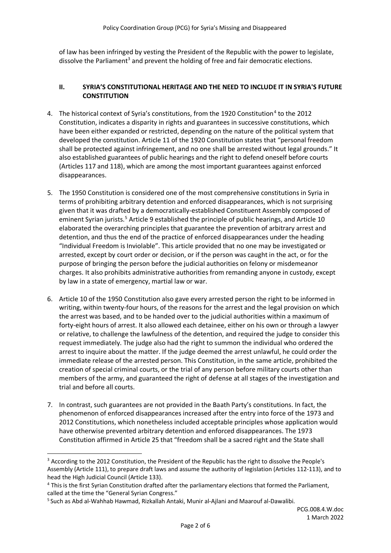of law has been infringed by vesting the President of the Republic with the power to legislate, dissolve the Parliament<sup>[3](#page-1-0)</sup> and prevent the holding of free and fair democratic elections.

### **II. SYRIA'S CONSTITUTIONAL HERITAGE AND THE NEED TO INCLUDE IT IN SYRIA'S FUTURE CONSTITUTION**

- [4](#page-1-1). The historical context of Syria's constitutions, from the 1920 Constitution<sup>4</sup> to the 2012 Constitution, indicates a disparity in rights and guarantees in successive constitutions, which have been either expanded or restricted, depending on the nature of the political system that developed the constitution. Article 11 of the 1920 Constitution states that "personal freedom shall be protected against infringement, and no one shall be arrested without legal grounds." It also established guarantees of public hearings and the right to defend oneself before courts (Articles 117 and 118), which are among the most important guarantees against enforced disappearances.
- 5. The 1950 Constitution is considered one of the most comprehensive constitutions in Syria in terms of prohibiting arbitrary detention and enforced disappearances, which is not surprising given that it was drafted by a democratically-established Constituent Assembly composed of eminent Syrian jurists.<sup>[5](#page-1-2)</sup> Article 9 established the principle of public hearings, and Article 10 elaborated the overarching principles that guarantee the prevention of arbitrary arrest and detention, and thus the end of the practice of enforced disappearances under the heading "Individual Freedom is Inviolable". This article provided that no one may be investigated or arrested, except by court order or decision, or if the person was caught in the act, or for the purpose of bringing the person before the judicial authorities on felony or misdemeanor charges. It also prohibits administrative authorities from remanding anyone in custody, except by law in a state of emergency, martial law or war.
- 6. Article 10 of the 1950 Constitution also gave every arrested person the right to be informed in writing, within twenty-four hours, of the reasons for the arrest and the legal provision on which the arrest was based, and to be handed over to the judicial authorities within a maximum of forty-eight hours of arrest. It also allowed each detainee, either on his own or through a lawyer or relative, to challenge the lawfulness of the detention, and required the judge to consider this request immediately. The judge also had the right to summon the individual who ordered the arrest to inquire about the matter. If the judge deemed the arrest unlawful, he could order the immediate release of the arrested person. This Constitution, in the same article, prohibited the creation of special criminal courts, or the trial of any person before military courts other than members of the army, and guaranteed the right of defense at all stages of the investigation and trial and before all courts.
- 7. In contrast, such guarantees are not provided in the Baath Party's constitutions. In fact, the phenomenon of enforced disappearances increased after the entry into force of the 1973 and 2012 Constitutions, which nonetheless included acceptable principles whose application would have otherwise prevented arbitrary detention and enforced disappearances. The 1973 Constitution affirmed in Article 25 that "freedom shall be a sacred right and the State shall

<span id="page-1-0"></span><sup>&</sup>lt;sup>3</sup> According to the 2012 Constitution, the President of the Republic has the right to dissolve the People's Assembly (Article 111), to prepare draft laws and assume the authority of legislation (Articles 112-113), and to head the High Judicial Council (Article 133).

<span id="page-1-1"></span><sup>4</sup> This is the first Syrian Constitution drafted after the parliamentary elections that formed the Parliament, called at the time the "General Syrian Congress."

<span id="page-1-2"></span><sup>5</sup> Such as Abd al-Wahhab Hawmad, Rizkallah Antaki, Munir al-Ajlani and Maarouf al-Dawalibi.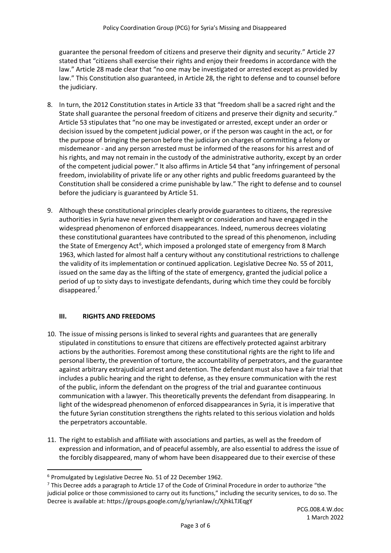guarantee the personal freedom of citizens and preserve their dignity and security." Article 27 stated that "citizens shall exercise their rights and enjoy their freedoms in accordance with the law." Article 28 made clear that "no one may be investigated or arrested except as provided by law." This Constitution also guaranteed, in Article 28, the right to defense and to counsel before the judiciary.

- 8. In turn, the 2012 Constitution states in Article 33 that "freedom shall be a sacred right and the State shall guarantee the personal freedom of citizens and preserve their dignity and security." Article 53 stipulates that "no one may be investigated or arrested, except under an order or decision issued by the competent judicial power, or if the person was caught in the act, or for the purpose of bringing the person before the judiciary on charges of committing a felony or misdemeanor - and any person arrested must be informed of the reasons for his arrest and of his rights, and may not remain in the custody of the administrative authority, except by an order of the competent judicial power." It also affirms in Article 54 that "any infringement of personal freedom, inviolability of private life or any other rights and public freedoms guaranteed by the Constitution shall be considered a crime punishable by law." The right to defense and to counsel before the judiciary is guaranteed by Article 51.
- 9. Although these constitutional principles clearly provide guarantees to citizens, the repressive authorities in Syria have never given them weight or consideration and have engaged in the widespread phenomenon of enforced disappearances. Indeed, numerous decrees violating these constitutional guarantees have contributed to the spread of this phenomenon, including the State of Emergency Act<sup>[6](#page-2-0)</sup>, which imposed a prolonged state of emergency from 8 March 1963, which lasted for almost half a century without any constitutional restrictions to challenge the validity of its implementation or continued application. Legislative Decree No. 55 of 2011, issued on the same day as the lifting of the state of emergency, granted the judicial police a period of up to sixty days to investigate defendants, during which time they could be forcibly disappeared.[7](#page-2-1)

### **III. RIGHTS AND FREEDOMS**

- 10. The issue of missing persons is linked to several rights and guarantees that are generally stipulated in constitutions to ensure that citizens are effectively protected against arbitrary actions by the authorities. Foremost among these constitutional rights are the right to life and personal liberty, the prevention of torture, the accountability of perpetrators, and the guarantee against arbitrary extrajudicial arrest and detention. The defendant must also have a fair trial that includes a public hearing and the right to defense, as they ensure communication with the rest of the public, inform the defendant on the progress of the trial and guarantee continuous communication with a lawyer. This theoretically prevents the defendant from disappearing. In light of the widespread phenomenon of enforced disappearances in Syria, it is imperative that the future Syrian constitution strengthens the rights related to this serious violation and holds the perpetrators accountable.
- 11. The right to establish and affiliate with associations and parties, as well as the freedom of expression and information, and of peaceful assembly, are also essential to address the issue of the forcibly disappeared, many of whom have been disappeared due to their exercise of these

<span id="page-2-0"></span> <sup>6</sup> Promulgated by Legislative Decree No. 51 of 22 December 1962.

<span id="page-2-1"></span><sup>&</sup>lt;sup>7</sup> This Decree adds a paragraph to Article 17 of the Code of Criminal Procedure in order to authorize "the judicial police or those commissioned to carry out its functions," including the security services, to do so. The Decree is available at:<https://groups.google.com/g/syrianlaw/c/XjhkLTJEqgY>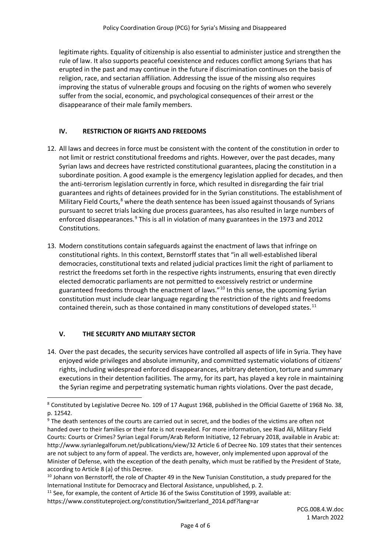legitimate rights. Equality of citizenship is also essential to administer justice and strengthen the rule of law. It also supports peaceful coexistence and reduces conflict among Syrians that has erupted in the past and may continue in the future if discrimination continues on the basis of religion, race, and sectarian affiliation. Addressing the issue of the missing also requires improving the status of vulnerable groups and focusing on the rights of women who severely suffer from the social, economic, and psychological consequences of their arrest or the disappearance of their male family members.

## **IV. RESTRICTION OF RIGHTS AND FREEDOMS**

- 12. All laws and decrees in force must be consistent with the content of the constitution in order to not limit or restrict constitutional freedoms and rights. However, over the past decades, many Syrian laws and decrees have restricted constitutional guarantees, placing the constitution in a subordinate position. A good example is the emergency legislation applied for decades, and then the anti-terrorism legislation currently in force, which resulted in disregarding the fair trial guarantees and rights of detainees provided for in the Syrian constitutions. The establishment of Military Field Courts, $8$  where the death sentence has been issued against thousands of Syrians pursuant to secret trials lacking due process guarantees, has also resulted in large numbers of enforced disappearances.<sup>[9](#page-3-1)</sup> This is all in violation of many guarantees in the 1973 and 2012 Constitutions.
- 13. Modern constitutions contain safeguards against the enactment of laws that infringe on constitutional rights. In this context, Bernstorff states that "in all well-established liberal democracies, constitutional texts and related judicial practices limit the right of parliament to restrict the freedoms set forth in the respective rights instruments, ensuring that even directly elected democratic parliaments are not permitted to excessively restrict or undermine guaranteed freedoms through the enactment of laws."<sup>[10](#page-3-2)</sup> In this sense, the upcoming Syrian constitution must include clear language regarding the restriction of the rights and freedoms contained therein, such as those contained in many constitutions of developed states.<sup>[11](#page-3-3)</sup>

# **V. THE SECURITY AND MILITARY SECTOR**

14. Over the past decades, the security services have controlled all aspects of life in Syria. They have enjoyed wide privileges and absolute immunity, and committed systematic violations of citizens' rights, including widespread enforced disappearances, arbitrary detention, torture and summary executions in their detention facilities. The army, for its part, has played a key role in maintaining the Syrian regime and perpetrating systematic human rights violations. Over the past decade,

<span id="page-3-0"></span> <sup>8</sup> Constituted by Legislative Decree No. 109 of 17 August 1968, published in the Official Gazette of 1968 No. 38, p. 12542.

<span id="page-3-1"></span> $9$  The death sentences of the courts are carried out in secret, and the bodies of the victims are often not handed over to their families or their fate is not revealed. For more information, see Riad Ali, Military Field Courts: Courts or Crimes? Syrian Legal Forum/Arab Reform Initiative, 12 February 2018, available in Arabic at: <http://www.syrianlegalforum.net/publications/view/32> Article 6 of Decree No. 109 states that their sentences are not subject to any form of appeal. The verdicts are, however, only implemented upon approval of the Minister of Defense, with the exception of the death penalty, which must be ratified by the President of State, according to Article 8 (a) of this Decree.

<span id="page-3-2"></span><sup>&</sup>lt;sup>10</sup> Johann von Bernstorff, the role of Chapter 49 in the New Tunisian Constitution, a study prepared for the International Institute for Democracy and Electoral Assistance, unpublished, p. 2.

<span id="page-3-3"></span> $11$  See, for example, the content of Article 36 of the Swiss Constitution of 1999, available at: [https://www.constituteproject.org/constitution/Switzerland\\_2014.pdf?lang=ar](https://www.constituteproject.org/constitution/Switzerland_2014.pdf?lang=ar)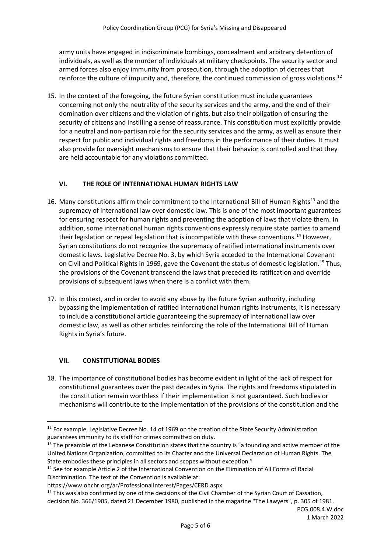army units have engaged in indiscriminate bombings, concealment and arbitrary detention of individuals, as well as the murder of individuals at military checkpoints. The security sector and armed forces also enjoy immunity from prosecution, through the adoption of decrees that reinforce the culture of impunity and, therefore, the continued commission of gross violations.<sup>[12](#page-4-0)</sup>

15. In the context of the foregoing, the future Syrian constitution must include guarantees concerning not only the neutrality of the security services and the army, and the end of their domination over citizens and the violation of rights, but also their obligation of ensuring the security of citizens and instilling a sense of reassurance. This constitution must explicitly provide for a neutral and non-partisan role for the security services and the army, as well as ensure their respect for public and individual rights and freedoms in the performance of their duties. It must also provide for oversight mechanisms to ensure that their behavior is controlled and that they are held accountable for any violations committed.

# **VI. THE ROLE OF INTERNATIONAL HUMAN RIGHTS LAW**

- 16. Many constitutions affirm their commitment to the International Bill of Human Rights<sup>[13](#page-4-1)</sup> and the supremacy of international law over domestic law. This is one of the most important guarantees for ensuring respect for human rights and preventing the adoption of laws that violate them. In addition, some international human rights conventions expressly require state parties to amend their legislation or repeal legislation that is incompatible with these conventions.<sup>[14](#page-4-2)</sup> However, Syrian constitutions do not recognize the supremacy of ratified international instruments over domestic laws. Legislative Decree No. 3, by which Syria acceded to the International Covenant on Civil and Political Rights in 1969, gave the Covenant the status of domestic legislation.<sup>[15](#page-4-3)</sup> Thus, the provisions of the Covenant transcend the laws that preceded its ratification and override provisions of subsequent laws when there is a conflict with them.
- 17. In this context, and in order to avoid any abuse by the future Syrian authority, including bypassing the implementation of ratified international human rights instruments, it is necessary to include a constitutional article guaranteeing the supremacy of international law over domestic law, as well as other articles reinforcing the role of the International Bill of Human Rights in Syria's future.

### **VII. CONSTITUTIONAL BODIES**

18. The importance of constitutional bodies has become evident in light of the lack of respect for constitutional guarantees over the past decades in Syria. The rights and freedoms stipulated in the constitution remain worthless if their implementation is not guaranteed. Such bodies or mechanisms will contribute to the implementation of the provisions of the constitution and the

<span id="page-4-0"></span> $12$  For example, Legislative Decree No. 14 of 1969 on the creation of the State Security Administration guarantees immunity to its staff for crimes committed on duty.

<span id="page-4-1"></span><sup>&</sup>lt;sup>13</sup> The preamble of the Lebanese Constitution states that the country is "a founding and active member of the United Nations Organization, committed to its Charter and the Universal Declaration of Human Rights. The State embodies these principles in all sectors and scopes without exception."

<span id="page-4-2"></span><sup>&</sup>lt;sup>14</sup> See for example Article 2 of the International Convention on the Elimination of All Forms of Racial Discrimination. The text of the Convention is available at:

<https://www.ohchr.org/ar/ProfessionalInterest/Pages/CERD.aspx>

<span id="page-4-3"></span><sup>&</sup>lt;sup>15</sup> This was also confirmed by one of the decisions of the Civil Chamber of the Syrian Court of Cassation, decision No. 366/1905, dated 21 December 1980, published in the magazine "The Lawyers", p. 305 of 1981.